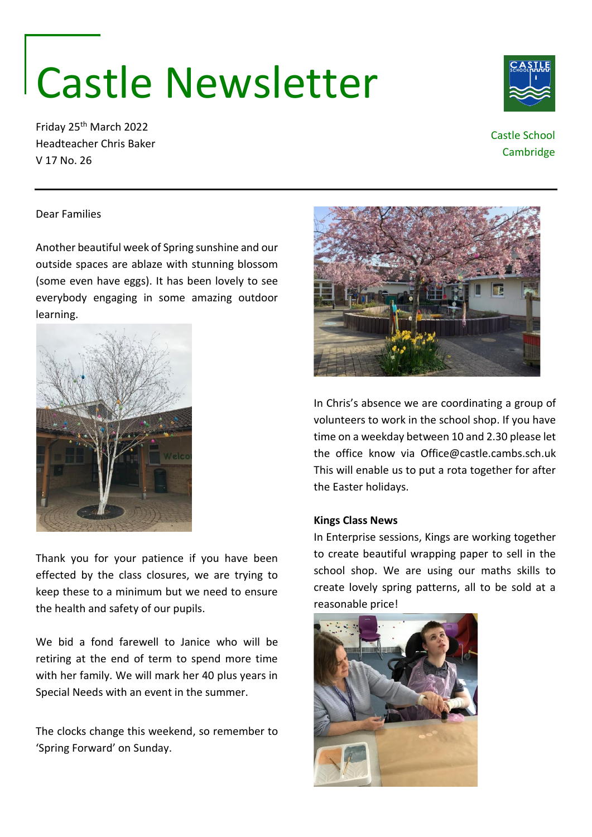# Castle Newsletter

Friday 25th March 2022 Headteacher Chris Baker V 17 No. 26



# Castle School **Cambridge**

## Dear Families

Another beautiful week of Spring sunshine and our outside spaces are ablaze with stunning blossom (some even have eggs). It has been lovely to see everybody engaging in some amazing outdoor learning.



Thank you for your patience if you have been effected by the class closures, we are trying to keep these to a minimum but we need to ensure the health and safety of our pupils.

We bid a fond farewell to Janice who will be retiring at the end of term to spend more time with her family. We will mark her 40 plus years in Special Needs with an event in the summer.

The clocks change this weekend, so remember to 'Spring Forward' on Sunday.



In Chris's absence we are coordinating a group of volunteers to work in the school shop. If you have time on a weekday between 10 and 2.30 please let the office know via Office@castle.cambs.sch.uk This will enable us to put a rota together for after the Easter holidays.

## **Kings Class News**

In Enterprise sessions, Kings are working together to create beautiful wrapping paper to sell in the school shop. We are using our maths skills to create lovely spring patterns, all to be sold at a reasonable price!